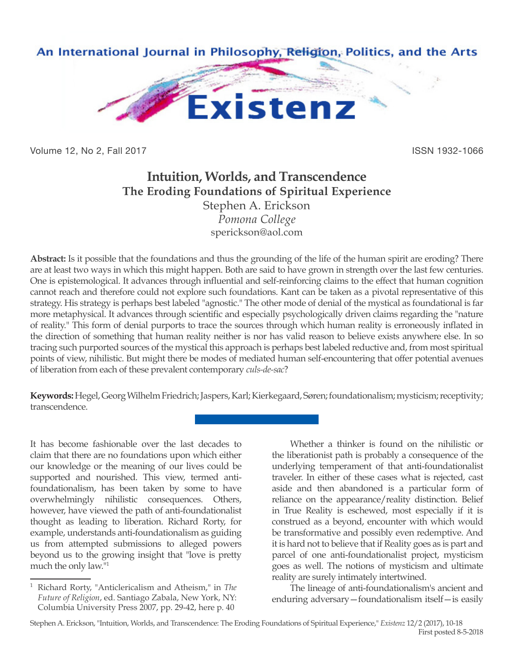

Volume 12, No 2, Fall 2017 **ISSN 1932-1066** 

## **Intuition, Worlds, and Transcendence The Eroding Foundations of Spiritual Experience** Stephen A. Erickson

*Pomona College* sperickson@aol.com

**Abstract:** Is it possible that the foundations and thus the grounding of the life of the human spirit are eroding? There are at least two ways in which this might happen. Both are said to have grown in strength over the last few centuries. One is epistemological. It advances through influential and self-reinforcing claims to the effect that human cognition cannot reach and therefore could not explore such foundations. Kant can be taken as a pivotal representative of this strategy. His strategy is perhaps best labeled "agnostic." The other mode of denial of the mystical as foundational is far more metaphysical. It advances through scientific and especially psychologically driven claims regarding the "nature of reality." This form of denial purports to trace the sources through which human reality is erroneously inflated in the direction of something that human reality neither is nor has valid reason to believe exists anywhere else. In so tracing such purported sources of the mystical this approach is perhaps best labeled reductive and, from most spiritual points of view, nihilistic. But might there be modes of mediated human self-encountering that offer potential avenues of liberation from each of these prevalent contemporary *culs-de-sac*?

**Keywords:** Hegel, Georg Wilhelm Friedrich; Jaspers, Karl; Kierkegaard, Søren; foundationalism; mysticism; receptivity; transcendence.

It has become fashionable over the last decades to claim that there are no foundations upon which either our knowledge or the meaning of our lives could be supported and nourished. This view, termed antifoundationalism, has been taken by some to have overwhelmingly nihilistic consequences. Others, however, have viewed the path of anti-foundationalist thought as leading to liberation. Richard Rorty, for example, understands anti-foundationalism as guiding us from attempted submissions to alleged powers beyond us to the growing insight that "love is pretty much the only law."1

Whether a thinker is found on the nihilistic or the liberationist path is probably a consequence of the underlying temperament of that anti-foundationalist traveler. In either of these cases what is rejected, cast aside and then abandoned is a particular form of reliance on the appearance/reality distinction. Belief in True Reality is eschewed, most especially if it is construed as a beyond, encounter with which would be transformative and possibly even redemptive. And it is hard not to believe that if Reality goes as is part and parcel of one anti-foundationalist project, mysticism goes as well. The notions of mysticism and ultimate reality are surely intimately intertwined.

The lineage of anti-foundationalism's ancient and enduring adversary—foundationalism itself—is easily

Stephen A. Erickson, "Intuition, Worlds, and Transcendence: The Eroding Foundations of Spiritual Experience," *Existenz* 12/2 (2017), 10-18 First posted 8-5-2018

<sup>1</sup> Richard Rorty, "Anticlericalism and Atheism," in *The Future of Religion*, ed. Santiago Zabala, New York, NY: Columbia University Press 2007, pp. 29-42, here p. 40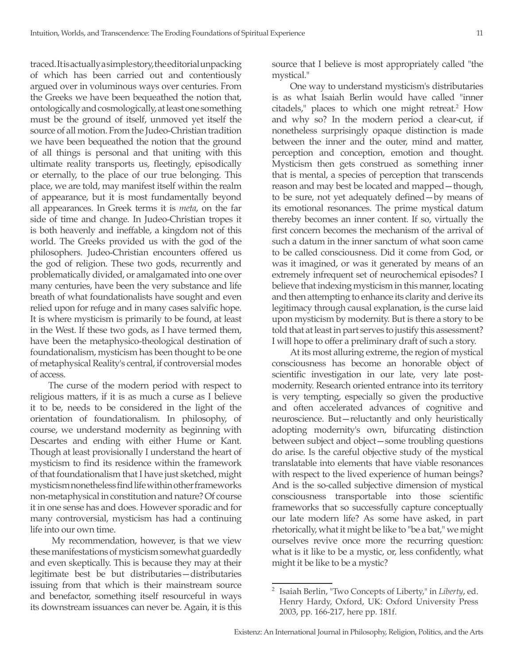traced. It is actually a simple story, the editorial unpacking of which has been carried out and contentiously argued over in voluminous ways over centuries. From the Greeks we have been bequeathed the notion that, ontologically and cosmologically, at least one something must be the ground of itself, unmoved yet itself the source of all motion. From the Judeo-Christian tradition we have been bequeathed the notion that the ground of all things is personal and that uniting with this ultimate reality transports us, fleetingly, episodically or eternally, to the place of our true belonging. This place, we are told, may manifest itself within the realm of appearance, but it is most fundamentally beyond all appearances. In Greek terms it is *meta*, on the far side of time and change. In Judeo-Christian tropes it is both heavenly and ineffable, a kingdom not of this world. The Greeks provided us with the god of the philosophers. Judeo-Christian encounters offered us the god of religion. These two gods, recurrently and problematically divided, or amalgamated into one over many centuries, have been the very substance and life breath of what foundationalists have sought and even relied upon for refuge and in many cases salvific hope. It is where mysticism is primarily to be found, at least in the West. If these two gods, as I have termed them, have been the metaphysico-theological destination of foundationalism, mysticism has been thought to be one of metaphysical Reality's central, if controversial modes of access.

The curse of the modern period with respect to religious matters, if it is as much a curse as I believe it to be, needs to be considered in the light of the orientation of foundationalism. In philosophy, of course, we understand modernity as beginning with Descartes and ending with either Hume or Kant. Though at least provisionally I understand the heart of mysticism to find its residence within the framework of that foundationalism that I have just sketched, might mysticism nonetheless find life within other frameworks non-metaphysical in constitution and nature? Of course it in one sense has and does. However sporadic and for many controversial, mysticism has had a continuing life into our own time.

 My recommendation, however, is that we view these manifestations of mysticism somewhat guardedly and even skeptically. This is because they may at their legitimate best be but distributaries—distributaries issuing from that which is their mainstream source and benefactor, something itself resourceful in ways its downstream issuances can never be. Again, it is this source that I believe is most appropriately called "the mystical."

One way to understand mysticism's distributaries is as what Isaiah Berlin would have called "inner citadels," places to which one might retreat.<sup>2</sup> How and why so? In the modern period a clear-cut, if nonetheless surprisingly opaque distinction is made between the inner and the outer, mind and matter, perception and conception, emotion and thought. Mysticism then gets construed as something inner that is mental, a species of perception that transcends reason and may best be located and mapped—though, to be sure, not yet adequately defined—by means of its emotional resonances. The prime mystical datum thereby becomes an inner content. If so, virtually the first concern becomes the mechanism of the arrival of such a datum in the inner sanctum of what soon came to be called consciousness. Did it come from God, or was it imagined, or was it generated by means of an extremely infrequent set of neurochemical episodes? I believe that indexing mysticism in this manner, locating and then attempting to enhance its clarity and derive its legitimacy through causal explanation, is the curse laid upon mysticism by modernity. But is there a story to be told that at least in part serves to justify this assessment? I will hope to offer a preliminary draft of such a story.

At its most alluring extreme, the region of mystical consciousness has become an honorable object of scientific investigation in our late, very late postmodernity. Research oriented entrance into its territory is very tempting, especially so given the productive and often accelerated advances of cognitive and neuroscience. But—reluctantly and only heuristically adopting modernity's own, bifurcating distinction between subject and object—some troubling questions do arise. Is the careful objective study of the mystical translatable into elements that have viable resonances with respect to the lived experience of human beings? And is the so-called subjective dimension of mystical consciousness transportable into those scientific frameworks that so successfully capture conceptually our late modern life? As some have asked, in part rhetorically, what it might be like to "be a bat," we might ourselves revive once more the recurring question: what is it like to be a mystic, or, less confidently, what might it be like to be a mystic?

<sup>2</sup> Isaiah Berlin, "Two Concepts of Liberty," in *Liberty*, ed. Henry Hardy, Oxford, UK: Oxford University Press 2003, pp. 166-217, here pp. 181f.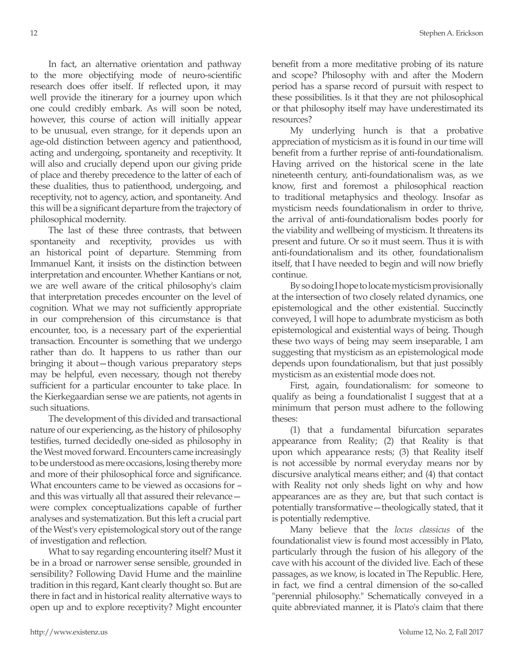In fact, an alternative orientation and pathway to the more objectifying mode of neuro-scientific research does offer itself. If reflected upon, it may well provide the itinerary for a journey upon which one could credibly embark. As will soon be noted, however, this course of action will initially appear to be unusual, even strange, for it depends upon an age-old distinction between agency and patienthood, acting and undergoing, spontaneity and receptivity. It will also and crucially depend upon our giving pride of place and thereby precedence to the latter of each of these dualities, thus to patienthood, undergoing, and receptivity, not to agency, action, and spontaneity. And this will be a significant departure from the trajectory of philosophical modernity.

The last of these three contrasts, that between spontaneity and receptivity, provides us with an historical point of departure. Stemming from Immanuel Kant, it insists on the distinction between interpretation and encounter. Whether Kantians or not, we are well aware of the critical philosophy's claim that interpretation precedes encounter on the level of cognition. What we may not sufficiently appropriate in our comprehension of this circumstance is that encounter, too, is a necessary part of the experiential transaction. Encounter is something that we undergo rather than do. It happens to us rather than our bringing it about—though various preparatory steps may be helpful, even necessary, though not thereby sufficient for a particular encounter to take place. In the Kierkegaardian sense we are patients, not agents in such situations.

The development of this divided and transactional nature of our experiencing, as the history of philosophy testifies, turned decidedly one-sided as philosophy in the West moved forward. Encounters came increasingly to be understood as mere occasions, losing thereby more and more of their philosophical force and significance. What encounters came to be viewed as occasions for – and this was virtually all that assured their relevance were complex conceptualizations capable of further analyses and systematization. But this left a crucial part of the West's very epistemological story out of the range of investigation and reflection.

What to say regarding encountering itself? Must it be in a broad or narrower sense sensible, grounded in sensibility? Following David Hume and the mainline tradition in this regard, Kant clearly thought so. But are there in fact and in historical reality alternative ways to open up and to explore receptivity? Might encounter benefit from a more meditative probing of its nature and scope? Philosophy with and after the Modern period has a sparse record of pursuit with respect to these possibilities. Is it that they are not philosophical or that philosophy itself may have underestimated its resources?

My underlying hunch is that a probative appreciation of mysticism as it is found in our time will benefit from a further reprise of anti-foundationalism. Having arrived on the historical scene in the late nineteenth century, anti-foundationalism was, as we know, first and foremost a philosophical reaction to traditional metaphysics and theology. Insofar as mysticism needs foundationalism in order to thrive, the arrival of anti-foundationalism bodes poorly for the viability and wellbeing of mysticism. It threatens its present and future. Or so it must seem. Thus it is with anti-foundationalism and its other, foundationalism itself, that I have needed to begin and will now briefly continue.

By so doing I hope to locate mysticism provisionally at the intersection of two closely related dynamics, one epistemological and the other existential. Succinctly conveyed, I will hope to adumbrate mysticism as both epistemological and existential ways of being. Though these two ways of being may seem inseparable, I am suggesting that mysticism as an epistemological mode depends upon foundationalism, but that just possibly mysticism as an existential mode does not.

First, again, foundationalism: for someone to qualify as being a foundationalist I suggest that at a minimum that person must adhere to the following theses:

(1) that a fundamental bifurcation separates appearance from Reality; (2) that Reality is that upon which appearance rests; (3) that Reality itself is not accessible by normal everyday means nor by discursive analytical means either; and (4) that contact with Reality not only sheds light on why and how appearances are as they are, but that such contact is potentially transformative—theologically stated, that it is potentially redemptive.

Many believe that the *locus classicus* of the foundationalist view is found most accessibly in Plato, particularly through the fusion of his allegory of the cave with his account of the divided live. Each of these passages, as we know, is located in The Republic. Here, in fact, we find a central dimension of the so-called "perennial philosophy." Schematically conveyed in a quite abbreviated manner, it is Plato's claim that there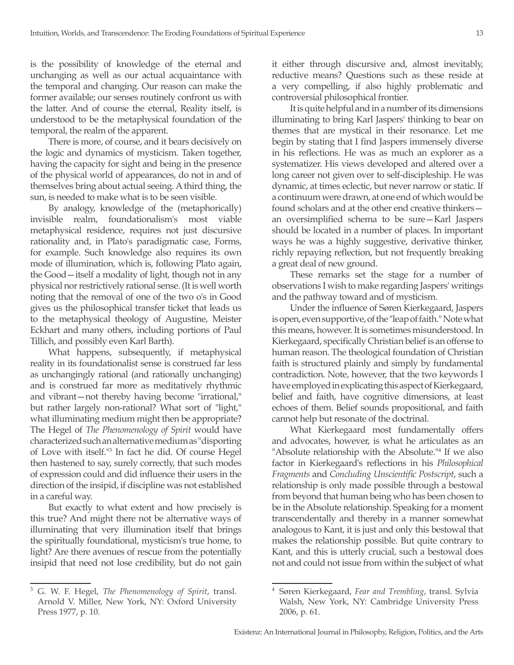is the possibility of knowledge of the eternal and unchanging as well as our actual acquaintance with the temporal and changing. Our reason can make the former available; our senses routinely confront us with the latter. And of course the eternal, Reality itself, is understood to be the metaphysical foundation of the temporal, the realm of the apparent.

There is more, of course, and it bears decisively on the logic and dynamics of mysticism. Taken together, having the capacity for sight and being in the presence of the physical world of appearances, do not in and of themselves bring about actual seeing. A third thing, the sun, is needed to make what is to be seen visible.

By analogy, knowledge of the (metaphorically) invisible realm, foundationalism's most viable metaphysical residence, requires not just discursive rationality and, in Plato's paradigmatic case, Forms, for example. Such knowledge also requires its own mode of illumination, which is, following Plato again, the Good—itself a modality of light, though not in any physical nor restrictively rational sense. (It is well worth noting that the removal of one of the two o's in Good gives us the philosophical transfer ticket that leads us to the metaphysical theology of Augustine, Meister Eckhart and many others, including portions of Paul Tillich, and possibly even Karl Barth).

What happens, subsequently, if metaphysical reality in its foundationalist sense is construed far less as unchangingly rational (and rationally unchanging) and is construed far more as meditatively rhythmic and vibrant—not thereby having become "irrational," but rather largely non-rational? What sort of "light," what illuminating medium might then be appropriate? The Hegel of *The Phenomenology of Spirit* would have characterized such an alternative medium as "disporting of Love with itself."3 In fact he did. Of course Hegel then hastened to say, surely correctly, that such modes of expression could and did influence their users in the direction of the insipid, if discipline was not established in a careful way.

But exactly to what extent and how precisely is this true? And might there not be alternative ways of illuminating that very illumination itself that brings the spiritually foundational, mysticism's true home, to light? Are there avenues of rescue from the potentially insipid that need not lose credibility, but do not gain it either through discursive and, almost inevitably, reductive means? Questions such as these reside at a very compelling, if also highly problematic and controversial philosophical frontier.

It is quite helpful and in a number of its dimensions illuminating to bring Karl Jaspers' thinking to bear on themes that are mystical in their resonance. Let me begin by stating that I find Jaspers immensely diverse in his reflections. He was as much an explorer as a systematizer. His views developed and altered over a long career not given over to self-discipleship. He was dynamic, at times eclectic, but never narrow or static. If a continuum were drawn, at one end of which would be found scholars and at the other end creative thinkers an oversimplified schema to be sure—Karl Jaspers should be located in a number of places. In important ways he was a highly suggestive, derivative thinker, richly repaying reflection, but not frequently breaking a great deal of new ground.

These remarks set the stage for a number of observations I wish to make regarding Jaspers' writings and the pathway toward and of mysticism.

Under the influence of Søren Kierkegaard, Jaspers is open, even supportive, of the "leap of faith." Note what this means, however. It is sometimes misunderstood. In Kierkegaard, specifically Christian belief is an offense to human reason. The theological foundation of Christian faith is structured plainly and simply by fundamental contradiction. Note, however, that the two keywords I have employed in explicating this aspect of Kierkegaard, belief and faith, have cognitive dimensions, at least echoes of them. Belief sounds propositional, and faith cannot help but resonate of the doctrinal.

What Kierkegaard most fundamentally offers and advocates, however, is what he articulates as an "Absolute relationship with the Absolute.<sup>"4</sup> If we also factor in Kierkegaard's reflections in his *Philosophical Fragments* and *Concluding Unscientific Postscript*, such a relationship is only made possible through a bestowal from beyond that human being who has been chosen to be in the Absolute relationship. Speaking for a moment transcendentally and thereby in a manner somewhat analogous to Kant, it is just and only this bestowal that makes the relationship possible. But quite contrary to Kant, and this is utterly crucial, such a bestowal does not and could not issue from within the subject of what

<sup>3</sup> G. W. F. Hegel, *The Phenomenology of Spirit*, transl. Arnold V. Miller, New York, NY: Oxford University Press 1977, p. 10.

<sup>4</sup> Søren Kierkegaard, *Fear and Trembling*, transl. Sylvia Walsh, New York, NY: Cambridge University Press 2006, p. 61.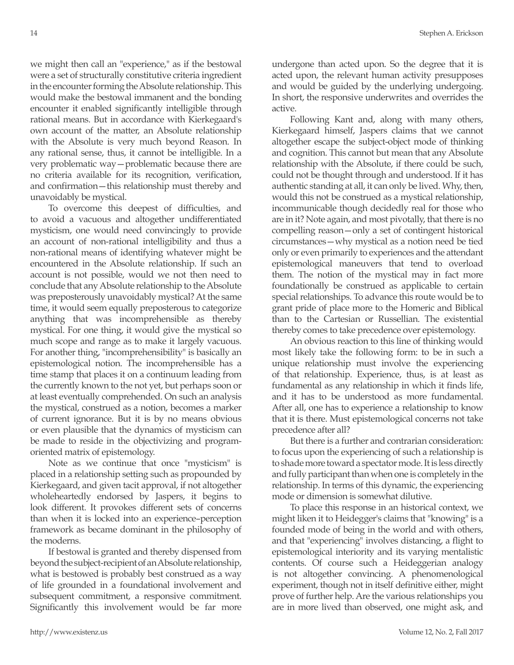we might then call an "experience," as if the bestowal were a set of structurally constitutive criteria ingredient in the encounter forming the Absolute relationship. This would make the bestowal immanent and the bonding encounter it enabled significantly intelligible through rational means. But in accordance with Kierkegaard's own account of the matter, an Absolute relationship with the Absolute is very much beyond Reason. In any rational sense, thus, it cannot be intelligible. In a very problematic way—problematic because there are no criteria available for its recognition, verification, and confirmation—this relationship must thereby and unavoidably be mystical.

To overcome this deepest of difficulties, and to avoid a vacuous and altogether undifferentiated mysticism, one would need convincingly to provide an account of non-rational intelligibility and thus a non-rational means of identifying whatever might be encountered in the Absolute relationship. If such an account is not possible, would we not then need to conclude that any Absolute relationship to the Absolute was preposterously unavoidably mystical? At the same time, it would seem equally preposterous to categorize anything that was incomprehensible as thereby mystical. For one thing, it would give the mystical so much scope and range as to make it largely vacuous. For another thing, "incomprehensibility" is basically an epistemological notion. The incomprehensible has a time stamp that places it on a continuum leading from the currently known to the not yet, but perhaps soon or at least eventually comprehended. On such an analysis the mystical, construed as a notion, becomes a marker of current ignorance. But it is by no means obvious or even plausible that the dynamics of mysticism can be made to reside in the objectivizing and programoriented matrix of epistemology.

Note as we continue that once "mysticism" is placed in a relationship setting such as propounded by Kierkegaard, and given tacit approval, if not altogether wholeheartedly endorsed by Jaspers, it begins to look different. It provokes different sets of concerns than when it is locked into an experience–perception framework as became dominant in the philosophy of the moderns.

If bestowal is granted and thereby dispensed from beyond the subject-recipient of an Absolute relationship, what is bestowed is probably best construed as a way of life grounded in a foundational involvement and subsequent commitment, a responsive commitment. Significantly this involvement would be far more

undergone than acted upon. So the degree that it is acted upon, the relevant human activity presupposes and would be guided by the underlying undergoing. In short, the responsive underwrites and overrides the active.

Following Kant and, along with many others, Kierkegaard himself, Jaspers claims that we cannot altogether escape the subject-object mode of thinking and cognition. This cannot but mean that any Absolute relationship with the Absolute, if there could be such, could not be thought through and understood. If it has authentic standing at all, it can only be lived. Why, then, would this not be construed as a mystical relationship, incommunicable though decidedly real for those who are in it? Note again, and most pivotally, that there is no compelling reason—only a set of contingent historical circumstances—why mystical as a notion need be tied only or even primarily to experiences and the attendant epistemological maneuvers that tend to overload them. The notion of the mystical may in fact more foundationally be construed as applicable to certain special relationships. To advance this route would be to grant pride of place more to the Homeric and Biblical than to the Cartesian or Russellian. The existential thereby comes to take precedence over epistemology.

An obvious reaction to this line of thinking would most likely take the following form: to be in such a unique relationship must involve the experiencing of that relationship. Experience, thus, is at least as fundamental as any relationship in which it finds life, and it has to be understood as more fundamental. After all, one has to experience a relationship to know that it is there. Must epistemological concerns not take precedence after all?

But there is a further and contrarian consideration: to focus upon the experiencing of such a relationship is to shade more toward a spectator mode. It is less directly and fully participant than when one is completely in the relationship. In terms of this dynamic, the experiencing mode or dimension is somewhat dilutive.

To place this response in an historical context, we might liken it to Heidegger's claims that "knowing" is a founded mode of being in the world and with others, and that "experiencing" involves distancing, a flight to epistemological interiority and its varying mentalistic contents. Of course such a Heideggerian analogy is not altogether convincing. A phenomenological experiment, though not in itself definitive either, might prove of further help. Are the various relationships you are in more lived than observed, one might ask, and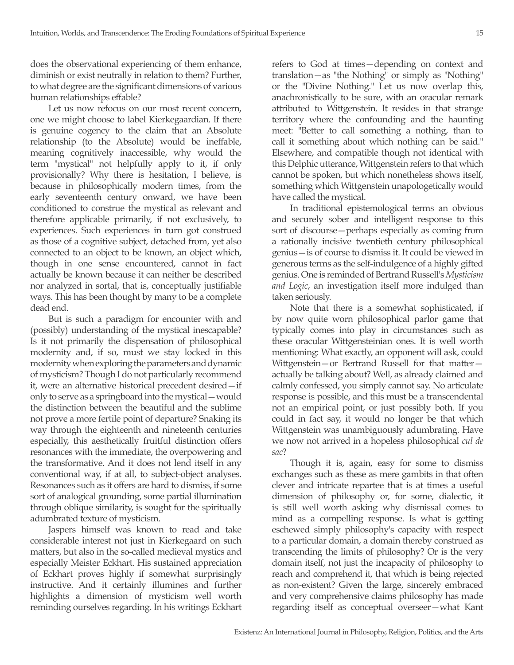does the observational experiencing of them enhance, diminish or exist neutrally in relation to them? Further, to what degree are the significant dimensions of various human relationships effable?

Let us now refocus on our most recent concern, one we might choose to label Kierkegaardian. If there is genuine cogency to the claim that an Absolute relationship (to the Absolute) would be ineffable, meaning cognitively inaccessible, why would the term "mystical" not helpfully apply to it, if only provisionally? Why there is hesitation, I believe, is because in philosophically modern times, from the early seventeenth century onward, we have been conditioned to construe the mystical as relevant and therefore applicable primarily, if not exclusively, to experiences. Such experiences in turn got construed as those of a cognitive subject, detached from, yet also connected to an object to be known, an object which, though in one sense encountered, cannot in fact actually be known because it can neither be described nor analyzed in sortal, that is, conceptually justifiable ways. This has been thought by many to be a complete dead end.

But is such a paradigm for encounter with and (possibly) understanding of the mystical inescapable? Is it not primarily the dispensation of philosophical modernity and, if so, must we stay locked in this modernity when exploring the parameters and dynamic of mysticism? Though I do not particularly recommend it, were an alternative historical precedent desired—if only to serve as a springboard into the mystical—would the distinction between the beautiful and the sublime not prove a more fertile point of departure? Snaking its way through the eighteenth and nineteenth centuries especially, this aesthetically fruitful distinction offers resonances with the immediate, the overpowering and the transformative. And it does not lend itself in any conventional way, if at all, to subject-object analyses. Resonances such as it offers are hard to dismiss, if some sort of analogical grounding, some partial illumination through oblique similarity, is sought for the spiritually adumbrated texture of mysticism.

Jaspers himself was known to read and take considerable interest not just in Kierkegaard on such matters, but also in the so-called medieval mystics and especially Meister Eckhart. His sustained appreciation of Eckhart proves highly if somewhat surprisingly instructive. And it certainly illumines and further highlights a dimension of mysticism well worth reminding ourselves regarding. In his writings Eckhart refers to God at times—depending on context and translation—as "the Nothing" or simply as "Nothing" or the "Divine Nothing." Let us now overlap this, anachronistically to be sure, with an oracular remark attributed to Wittgenstein. It resides in that strange territory where the confounding and the haunting meet: "Better to call something a nothing, than to call it something about which nothing can be said." Elsewhere, and compatible though not identical with this Delphic utterance, Wittgenstein refers to that which cannot be spoken, but which nonetheless shows itself, something which Wittgenstein unapologetically would have called the mystical.

In traditional epistemological terms an obvious and securely sober and intelligent response to this sort of discourse—perhaps especially as coming from a rationally incisive twentieth century philosophical genius—is of course to dismiss it. It could be viewed in generous terms as the self-indulgence of a highly gifted genius. One is reminded of Bertrand Russell's *Mysticism and Logic*, an investigation itself more indulged than taken seriously.

Note that there is a somewhat sophisticated, if by now quite worn philosophical parlor game that typically comes into play in circumstances such as these oracular Wittgensteinian ones. It is well worth mentioning: What exactly, an opponent will ask, could Wittgenstein—or Bertrand Russell for that matter actually be talking about? Well, as already claimed and calmly confessed, you simply cannot say. No articulate response is possible, and this must be a transcendental not an empirical point, or just possibly both. If you could in fact say, it would no longer be that which Wittgenstein was unambiguously adumbrating. Have we now not arrived in a hopeless philosophical *cul de sac*?

Though it is, again, easy for some to dismiss exchanges such as these as mere gambits in that often clever and intricate repartee that is at times a useful dimension of philosophy or, for some, dialectic, it is still well worth asking why dismissal comes to mind as a compelling response. Is what is getting eschewed simply philosophy's capacity with respect to a particular domain, a domain thereby construed as transcending the limits of philosophy? Or is the very domain itself, not just the incapacity of philosophy to reach and comprehend it, that which is being rejected as non-existent? Given the large, sincerely embraced and very comprehensive claims philosophy has made regarding itself as conceptual overseer—what Kant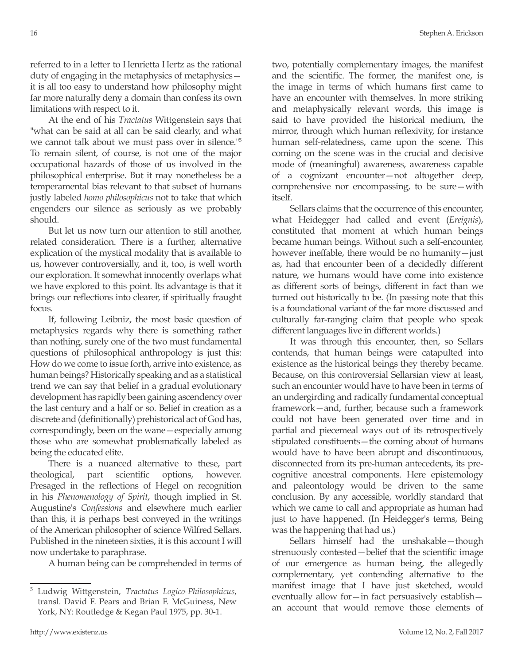referred to in a letter to Henrietta Hertz as the rational duty of engaging in the metaphysics of metaphysics it is all too easy to understand how philosophy might far more naturally deny a domain than confess its own limitations with respect to it.

At the end of his *Tractatus* Wittgenstein says that "what can be said at all can be said clearly, and what we cannot talk about we must pass over in silence."5 To remain silent, of course, is not one of the major occupational hazards of those of us involved in the philosophical enterprise. But it may nonetheless be a temperamental bias relevant to that subset of humans justly labeled *homo philosophicus* not to take that which engenders our silence as seriously as we probably should.

But let us now turn our attention to still another, related consideration. There is a further, alternative explication of the mystical modality that is available to us, however controversially, and it, too, is well worth our exploration. It somewhat innocently overlaps what we have explored to this point. Its advantage is that it brings our reflections into clearer, if spiritually fraught focus.

If, following Leibniz, the most basic question of metaphysics regards why there is something rather than nothing, surely one of the two must fundamental questions of philosophical anthropology is just this: How do we come to issue forth, arrive into existence, as human beings? Historically speaking and as a statistical trend we can say that belief in a gradual evolutionary development has rapidly been gaining ascendency over the last century and a half or so. Belief in creation as a discrete and (definitionally) prehistorical act of God has, correspondingly, been on the wane—especially among those who are somewhat problematically labeled as being the educated elite.

There is a nuanced alternative to these, part theological, part scientific options, however. Presaged in the reflections of Hegel on recognition in his *Phenomenology of Spirit*, though implied in St. Augustine's *Confessions* and elsewhere much earlier than this, it is perhaps best conveyed in the writings of the American philosopher of science Wilfred Sellars. Published in the nineteen sixties, it is this account I will now undertake to paraphrase.

A human being can be comprehended in terms of

two, potentially complementary images, the manifest and the scientific. The former, the manifest one, is the image in terms of which humans first came to have an encounter with themselves. In more striking and metaphysically relevant words, this image is said to have provided the historical medium, the mirror, through which human reflexivity, for instance human self-relatedness, came upon the scene. This coming on the scene was in the crucial and decisive mode of (meaningful) awareness, awareness capable of a cognizant encounter—not altogether deep, comprehensive nor encompassing, to be sure—with itself.

Sellars claims that the occurrence of this encounter, what Heidegger had called and event (*Ereignis*), constituted that moment at which human beings became human beings. Without such a self-encounter, however ineffable, there would be no humanity—just as, had that encounter been of a decidedly different nature, we humans would have come into existence as different sorts of beings, different in fact than we turned out historically to be. (In passing note that this is a foundational variant of the far more discussed and culturally far-ranging claim that people who speak different languages live in different worlds.)

It was through this encounter, then, so Sellars contends, that human beings were catapulted into existence as the historical beings they thereby became. Because, on this controversial Sellarsian view at least, such an encounter would have to have been in terms of an undergirding and radically fundamental conceptual framework—and, further, because such a framework could not have been generated over time and in partial and piecemeal ways out of its retrospectively stipulated constituents—the coming about of humans would have to have been abrupt and discontinuous, disconnected from its pre-human antecedents, its precognitive ancestral components. Here epistemology and paleontology would be driven to the same conclusion. By any accessible, worldly standard that which we came to call and appropriate as human had just to have happened. (In Heidegger's terms, Being was the happening that had us.)

Sellars himself had the unshakable—though strenuously contested—belief that the scientific image of our emergence as human being, the allegedly complementary, yet contending alternative to the manifest image that I have just sketched, would eventually allow for—in fact persuasively establish an account that would remove those elements of

<sup>5</sup> Ludwig Wittgenstein, *Tractatus Logico-Philosophicus*, transl. David F. Pears and Brian F. McGuiness, New York, NY: Routledge & Kegan Paul 1975, pp. 30-1.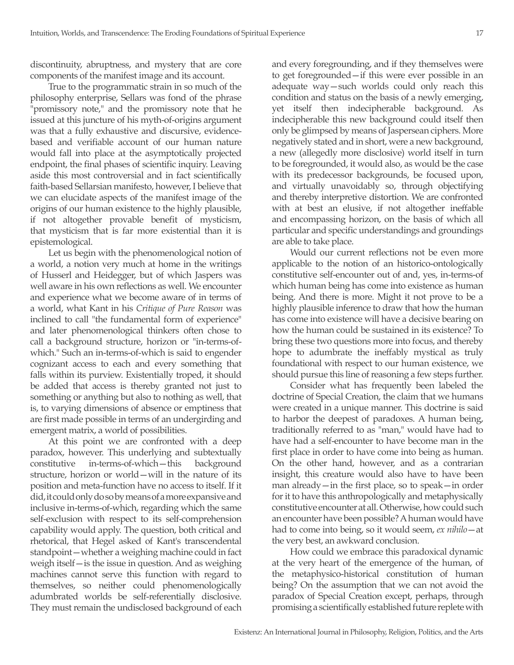discontinuity, abruptness, and mystery that are core components of the manifest image and its account.

True to the programmatic strain in so much of the philosophy enterprise, Sellars was fond of the phrase "promissory note," and the promissory note that he issued at this juncture of his myth-of-origins argument was that a fully exhaustive and discursive, evidencebased and verifiable account of our human nature would fall into place at the asymptotically projected endpoint, the final phases of scientific inquiry. Leaving aside this most controversial and in fact scientifically faith-based Sellarsian manifesto, however, I believe that we can elucidate aspects of the manifest image of the origins of our human existence to the highly plausible, if not altogether provable benefit of mysticism, that mysticism that is far more existential than it is epistemological.

Let us begin with the phenomenological notion of a world, a notion very much at home in the writings of Husserl and Heidegger, but of which Jaspers was well aware in his own reflections as well. We encounter and experience what we become aware of in terms of a world, what Kant in his *Critique of Pure Reason* was inclined to call "the fundamental form of experience" and later phenomenological thinkers often chose to call a background structure, horizon or "in-terms-ofwhich." Such an in-terms-of-which is said to engender cognizant access to each and every something that falls within its purview. Existentially troped, it should be added that access is thereby granted not just to something or anything but also to nothing as well, that is, to varying dimensions of absence or emptiness that are first made possible in terms of an undergirding and emergent matrix, a world of possibilities.

At this point we are confronted with a deep paradox, however. This underlying and subtextually constitutive in-terms-of-which—this background structure, horizon or world—will in the nature of its position and meta-function have no access to itself. If it did, it could only do so by means of a more expansive and inclusive in-terms-of-which, regarding which the same self-exclusion with respect to its self-comprehension capability would apply. The question, both critical and rhetorical, that Hegel asked of Kant's transcendental standpoint—whether a weighing machine could in fact weigh itself—is the issue in question. And as weighing machines cannot serve this function with regard to themselves, so neither could phenomenologically adumbrated worlds be self-referentially disclosive. They must remain the undisclosed background of each and every foregrounding, and if they themselves were to get foregrounded—if this were ever possible in an adequate way—such worlds could only reach this condition and status on the basis of a newly emerging, yet itself then indecipherable background. As indecipherable this new background could itself then only be glimpsed by means of Jaspersean ciphers. More negatively stated and in short, were a new background, a new (allegedly more disclosive) world itself in turn to be foregrounded, it would also, as would be the case with its predecessor backgrounds, be focused upon, and virtually unavoidably so, through objectifying and thereby interpretive distortion. We are confronted with at best an elusive, if not altogether ineffable and encompassing horizon, on the basis of which all particular and specific understandings and groundings are able to take place.

Would our current reflections not be even more applicable to the notion of an historico-ontologically constitutive self-encounter out of and, yes, in-terms-of which human being has come into existence as human being. And there is more. Might it not prove to be a highly plausible inference to draw that how the human has come into existence will have a decisive bearing on how the human could be sustained in its existence? To bring these two questions more into focus, and thereby hope to adumbrate the ineffably mystical as truly foundational with respect to our human existence, we should pursue this line of reasoning a few steps further.

Consider what has frequently been labeled the doctrine of Special Creation, the claim that we humans were created in a unique manner. This doctrine is said to harbor the deepest of paradoxes. A human being, traditionally referred to as "man," would have had to have had a self-encounter to have become man in the first place in order to have come into being as human. On the other hand, however, and as a contrarian insight, this creature would also have to have been man already—in the first place, so to speak—in order for it to have this anthropologically and metaphysically constitutive encounter at all. Otherwise, how could such an encounter have been possible? A human would have had to come into being, so it would seem, *ex nihilo*—at the very best, an awkward conclusion.

How could we embrace this paradoxical dynamic at the very heart of the emergence of the human, of the metaphysico-historical constitution of human being? On the assumption that we can not avoid the paradox of Special Creation except, perhaps, through promising a scientifically established future replete with